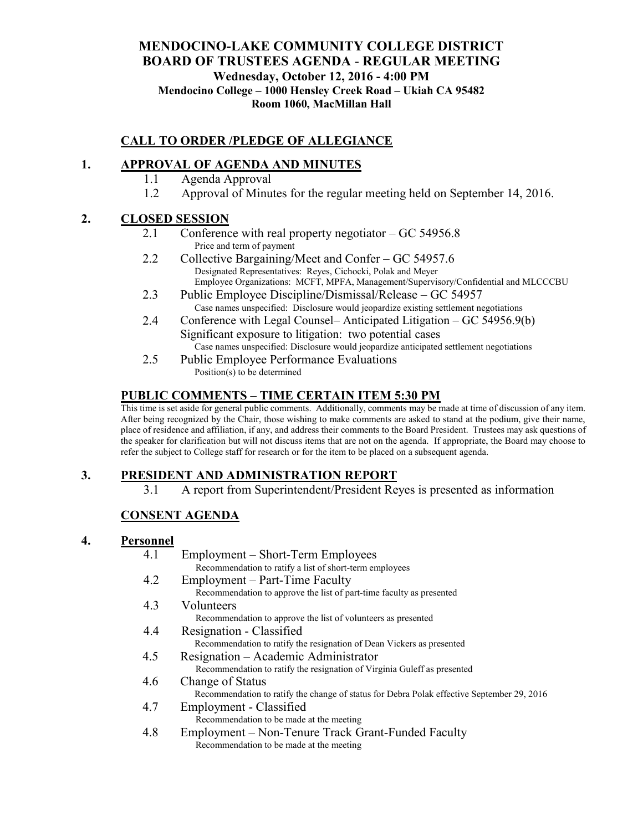## **MENDOCINO-LAKE COMMUNITY COLLEGE DISTRICT BOARD OF TRUSTEES AGENDA** - **REGULAR MEETING Wednesday, October 12, 2016 - 4:00 PM Mendocino College – 1000 Hensley Creek Road – Ukiah CA 95482 Room 1060, MacMillan Hall**

# **CALL TO ORDER /PLEDGE OF ALLEGIANCE**

# **1. APPROVAL OF AGENDA AND MINUTES**

- 1.1 Agenda Approval
- 1.2 Approval of Minutes for the regular meeting held on September 14, 2016.

## **2. CLOSED SESSION**

- 2.1 Conference with real property negotiator GC 54956.8 Price and term of payment
- 2.2 Collective Bargaining/Meet and Confer GC 54957.6 Designated Representatives: Reyes, Cichocki, Polak and Meyer Employee Organizations: MCFT, MPFA, Management/Supervisory/Confidential and MLCCCBU
- 2.3 Public Employee Discipline/Dismissal/Release GC 54957 Case names unspecified: Disclosure would jeopardize existing settlement negotiations
- 2.4 Conference with Legal Counsel– Anticipated Litigation GC 54956.9(b) Significant exposure to litigation: two potential cases Case names unspecified: Disclosure would jeopardize anticipated settlement negotiations
- 2.5 Public Employee Performance Evaluations Position(s) to be determined

## **PUBLIC COMMENTS – TIME CERTAIN ITEM 5:30 PM**

This time is set aside for general public comments. Additionally, comments may be made at time of discussion of any item. After being recognized by the Chair, those wishing to make comments are asked to stand at the podium, give their name, place of residence and affiliation, if any, and address their comments to the Board President. Trustees may ask questions of the speaker for clarification but will not discuss items that are not on the agenda. If appropriate, the Board may choose to refer the subject to College staff for research or for the item to be placed on a subsequent agenda.

## **3. PRESIDENT AND ADMINISTRATION REPORT**

3.1 A report from Superintendent/President Reyes is presented as information

## **CONSENT AGENDA**

#### **4. Personnel**

| т егзоппет |                                                                                            |
|------------|--------------------------------------------------------------------------------------------|
| 4.1        | Employment – Short-Term Employees                                                          |
|            | Recommendation to ratify a list of short-term employees                                    |
| 4.2        | Employment – Part-Time Faculty                                                             |
|            | Recommendation to approve the list of part-time faculty as presented                       |
| 4.3        | Volunteers                                                                                 |
|            | Recommendation to approve the list of volunteers as presented                              |
| 4.4        | Resignation - Classified                                                                   |
|            | Recommendation to ratify the resignation of Dean Vickers as presented                      |
| 4.5        | Resignation – Academic Administrator                                                       |
|            | Recommendation to ratify the resignation of Virginia Guleff as presented                   |
| 4.6        | Change of Status                                                                           |
|            | Recommendation to ratify the change of status for Debra Polak effective September 29, 2016 |

- 4.7 Employment Classified Recommendation to be made at the meeting
- 4.8 Employment Non-Tenure Track Grant-Funded Faculty Recommendation to be made at the meeting